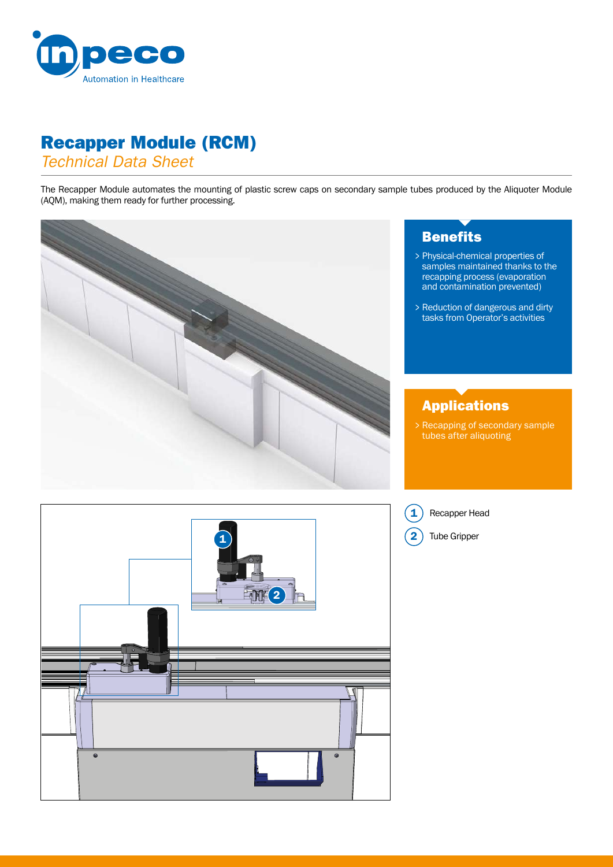

## Recapper Module (RCM)

*Technical Data Sheet*

The Recapper Module automates the mounting of plastic screw caps on secondary sample tubes produced by the Aliquoter Module (AQM), making them ready for further processing.



## **Benefits**

- Physical-chemical properties of > samples maintained thanks to the recapping process (evaporation and contamination prevented)
- Reduction of dangerous and dirty > tasks from Operator's activities

## Applications

Recapping of secondary sample > tubes after aliquoting



Recapper Head

1

**Tube Gripper**